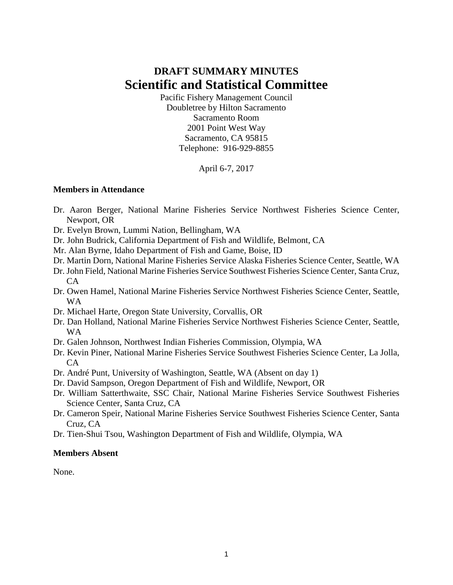# **DRAFT SUMMARY MINUTES Scientific and Statistical Committee**

Pacific Fishery Management Council Doubletree by Hilton Sacramento Sacramento Room 2001 Point West Way Sacramento, CA 95815 Telephone: 916-929-8855

April 6-7, 2017

#### **Members in Attendance**

- Dr. Aaron Berger, National Marine Fisheries Service Northwest Fisheries Science Center, Newport, OR
- Dr. Evelyn Brown, Lummi Nation, Bellingham, WA
- Dr. John Budrick, California Department of Fish and Wildlife, Belmont, CA
- Mr. Alan Byrne, Idaho Department of Fish and Game, Boise, ID
- Dr. Martin Dorn, National Marine Fisheries Service Alaska Fisheries Science Center, Seattle, WA
- Dr. John Field, National Marine Fisheries Service Southwest Fisheries Science Center, Santa Cruz, CA
- Dr. Owen Hamel, National Marine Fisheries Service Northwest Fisheries Science Center, Seattle, WA
- Dr. Michael Harte, Oregon State University, Corvallis, OR
- Dr. Dan Holland, National Marine Fisheries Service Northwest Fisheries Science Center, Seattle, WA
- Dr. Galen Johnson, Northwest Indian Fisheries Commission, Olympia, WA
- Dr. Kevin Piner, National Marine Fisheries Service Southwest Fisheries Science Center, La Jolla, CA
- Dr. André Punt, University of Washington, Seattle, WA (Absent on day 1)
- Dr. David Sampson, Oregon Department of Fish and Wildlife, Newport, OR
- Dr. William Satterthwaite, SSC Chair, National Marine Fisheries Service Southwest Fisheries Science Center, Santa Cruz, CA
- Dr. Cameron Speir, National Marine Fisheries Service Southwest Fisheries Science Center, Santa Cruz, CA
- Dr. Tien-Shui Tsou, Washington Department of Fish and Wildlife, Olympia, WA

#### **Members Absent**

None.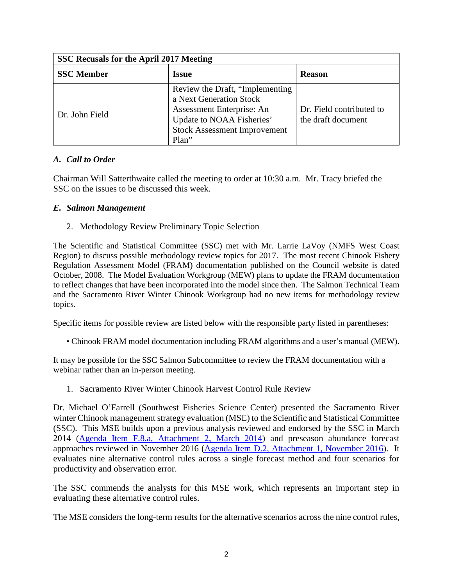| SSC Recusals for the April 2017 Meeting |                                                                                                                                                                       |                                                |  |  |  |  |
|-----------------------------------------|-----------------------------------------------------------------------------------------------------------------------------------------------------------------------|------------------------------------------------|--|--|--|--|
| <b>SSC</b> Member                       | <b>Issue</b>                                                                                                                                                          | <b>Reason</b>                                  |  |  |  |  |
| Dr. John Field                          | Review the Draft, "Implementing"<br>a Next Generation Stock<br>Assessment Enterprise: An<br>Update to NOAA Fisheries'<br><b>Stock Assessment Improvement</b><br>Plan" | Dr. Field contributed to<br>the draft document |  |  |  |  |

## *A. Call to Order*

Chairman Will Satterthwaite called the meeting to order at 10:30 a.m. Mr. Tracy briefed the SSC on the issues to be discussed this week.

#### *E. Salmon Management*

2. Methodology Review Preliminary Topic Selection

The Scientific and Statistical Committee (SSC) met with Mr. Larrie LaVoy (NMFS West Coast Region) to discuss possible methodology review topics for 2017. The most recent Chinook Fishery Regulation Assessment Model (FRAM) documentation published on the Council website is dated October, 2008. The Model Evaluation Workgroup (MEW) plans to update the FRAM documentation to reflect changes that have been incorporated into the model since then. The Salmon Technical Team and the Sacramento River Winter Chinook Workgroup had no new items for methodology review topics.

Specific items for possible review are listed below with the responsible party listed in parentheses:

• Chinook FRAM model documentation including FRAM algorithms and a user's manual (MEW).

It may be possible for the SSC Salmon Subcommittee to review the FRAM documentation with a webinar rather than an in-person meeting.

1. Sacramento River Winter Chinook Harvest Control Rule Review

Dr. Michael O'Farrell (Southwest Fisheries Science Center) presented the Sacramento River winter Chinook management strategy evaluation (MSE) to the Scientific and Statistical Committee (SSC). This MSE builds upon a previous analysis reviewed and endorsed by the SSC in March 2014 [\(Agenda Item F.8.a, Attachment 2, March 2014\)](http://www.pcouncil.org/wp-content/uploads/F8a_ATT2_SRWC_MSE_2012_02_28_MAR2014BB.pdf) and preseason abundance forecast approaches reviewed in November 2016 [\(Agenda Item D.2, Attachment 1, November 2016\)](http://www.pcouncil.org/wp-content/uploads/2016/10/D2_Att1_SRWC_forecast_rev_doc_Oct032016_NOV2016BB.pdf). It evaluates nine alternative control rules across a single forecast method and four scenarios for productivity and observation error.

The SSC commends the analysts for this MSE work, which represents an important step in evaluating these alternative control rules.

The MSE considers the long-term results for the alternative scenarios across the nine control rules,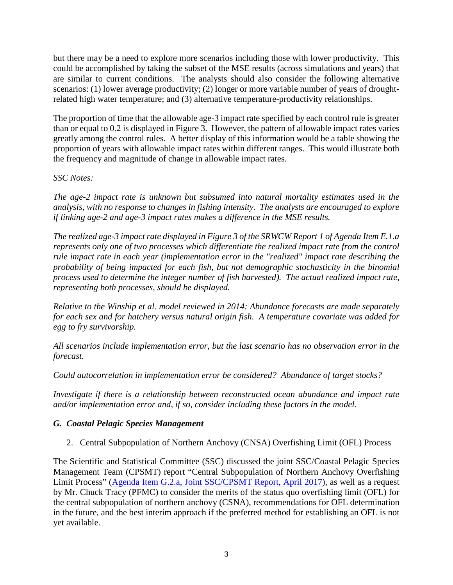but there may be a need to explore more scenarios including those with lower productivity. This could be accomplished by taking the subset of the MSE results (across simulations and years) that are similar to current conditions. The analysts should also consider the following alternative scenarios: (1) lower average productivity; (2) longer or more variable number of years of droughtrelated high water temperature; and (3) alternative temperature-productivity relationships.

The proportion of time that the allowable age-3 impact rate specified by each control rule is greater than or equal to 0.2 is displayed in Figure 3. However, the pattern of allowable impact rates varies greatly among the control rules. A better display of this information would be a table showing the proportion of years with allowable impact rates within different ranges. This would illustrate both the frequency and magnitude of change in allowable impact rates.

#### *SSC Notes:*

*The age-2 impact rate is unknown but subsumed into natural mortality estimates used in the analysis, with no response to changes in fishing intensity. The analysts are encouraged to explore if linking age-2 and age-3 impact rates makes a difference in the MSE results.* 

*The realized age-3 impact rate displayed in Figure 3 of the SRWCW Report 1 of Agenda Item E.1.a represents only one of two processes which differentiate the realized impact rate from the control rule impact rate in each year (implementation error in the "realized" impact rate describing the probability of being impacted for each fish, but not demographic stochasticity in the binomial process used to determine the integer number of fish harvested). The actual realized impact rate, representing both processes, should be displayed.* 

*Relative to the Winship et al. model reviewed in 2014: Abundance forecasts are made separately for each sex and for hatchery versus natural origin fish. A temperature covariate was added for egg to fry survivorship.* 

*All scenarios include implementation error, but the last scenario has no observation error in the forecast.* 

*Could autocorrelation in implementation error be considered? Abundance of target stocks?* 

*Investigate if there is a relationship between reconstructed ocean abundance and impact rate and/or implementation error and, if so, consider including these factors in the model.*

## *G. Coastal Pelagic Species Management*

2. Central Subpopulation of Northern Anchovy (CNSA) Overfishing Limit (OFL) Process

The Scientific and Statistical Committee (SSC) discussed the joint SSC/Coastal Pelagic Species Management Team (CPSMT) report "Central Subpopulation of Northern Anchovy Overfishing Limit Process" [\(Agenda Item G.2.a, Joint SSC/CPSMT Report, April 2017\)](http://www.pcouncil.org/wp-content/uploads/2017/03/G2a_SSCandCPSMT_Rpt_Apr2017BB.pdf), as well as a request by Mr. Chuck Tracy (PFMC) to consider the merits of the status quo overfishing limit (OFL) for the central subpopulation of northern anchovy (CSNA), recommendations for OFL determination in the future, and the best interim approach if the preferred method for establishing an OFL is not yet available.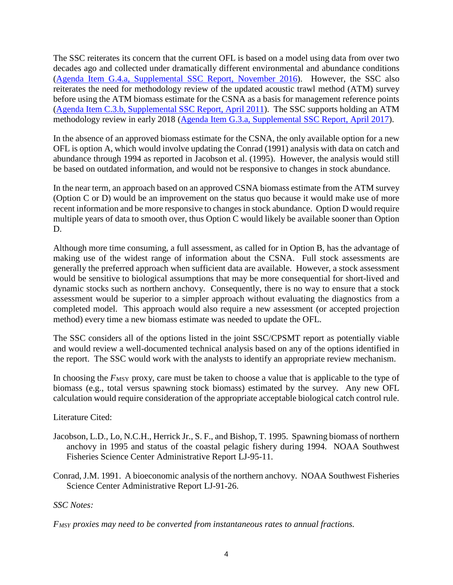The SSC reiterates its concern that the current OFL is based on a model using data from over two decades ago and collected under dramatically different environmental and abundance conditions [\(Agenda Item G.4.a, Supplemental SSC Report, November 2016\)](http://www.pcouncil.org/wp-content/uploads/2016/11/G4a_Sup_SSC_Rpt_NOV2016BB.pdf). However, the SSC also reiterates the need for methodology review of the updated acoustic trawl method (ATM) survey before using the ATM biomass estimate for the CSNA as a basis for management reference points [\(Agenda Item C.3.b, Supplemental SSC Report, April 2011\)](http://www.pcouncil.org/wp-content/uploads/C3b_SUP_SSC_APR2011BB.pdf). The SSC supports holding an ATM methodology review in early 2018 [\(Agenda Item G.3.a, Supplemental SSC Report, April 2017\)](http://www.pcouncil.org/wp-content/uploads/2017/04/G3a_Sup_SSC_CPSmethodology_Apr2017BB.pdf).

In the absence of an approved biomass estimate for the CSNA, the only available option for a new OFL is option A, which would involve updating the Conrad (1991) analysis with data on catch and abundance through 1994 as reported in Jacobson et al. (1995). However, the analysis would still be based on outdated information, and would not be responsive to changes in stock abundance.

In the near term, an approach based on an approved CSNA biomass estimate from the ATM survey (Option C or D) would be an improvement on the status quo because it would make use of more recent information and be more responsive to changes in stock abundance. Option D would require multiple years of data to smooth over, thus Option C would likely be available sooner than Option D.

Although more time consuming, a full assessment, as called for in Option B, has the advantage of making use of the widest range of information about the CSNA. Full stock assessments are generally the preferred approach when sufficient data are available. However, a stock assessment would be sensitive to biological assumptions that may be more consequential for short-lived and dynamic stocks such as northern anchovy. Consequently, there is no way to ensure that a stock assessment would be superior to a simpler approach without evaluating the diagnostics from a completed model. This approach would also require a new assessment (or accepted projection method) every time a new biomass estimate was needed to update the OFL.

The SSC considers all of the options listed in the joint SSC/CPSMT report as potentially viable and would review a well-documented technical analysis based on any of the options identified in the report. The SSC would work with the analysts to identify an appropriate review mechanism.

In choosing the  $F_{\text{MSY}}$  proxy, care must be taken to choose a value that is applicable to the type of biomass (e.g., total versus spawning stock biomass) estimated by the survey. Any new OFL calculation would require consideration of the appropriate acceptable biological catch control rule.

Literature Cited:

- Jacobson, L.D., Lo, N.C.H., Herrick Jr., S. F., and Bishop, T. 1995. Spawning biomass of northern anchovy in 1995 and status of the coastal pelagic fishery during 1994. NOAA Southwest Fisheries Science Center Administrative Report LJ-95-11.
- Conrad, J.M. 1991. A bioeconomic analysis of the northern anchovy. NOAA Southwest Fisheries Science Center Administrative Report LJ-91-26.

## *SSC Notes:*

*FMSY proxies may need to be converted from instantaneous rates to annual fractions.*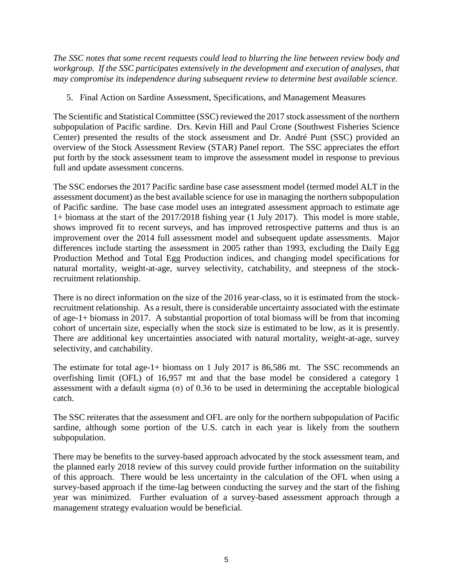*The SSC notes that some recent requests could lead to blurring the line between review body and workgroup. If the SSC participates extensively in the development and execution of analyses, that may compromise its independence during subsequent review to determine best available science.*

5. Final Action on Sardine Assessment, Specifications, and Management Measures

The Scientific and Statistical Committee (SSC) reviewed the 2017 stock assessment of the northern subpopulation of Pacific sardine. Drs. Kevin Hill and Paul Crone (Southwest Fisheries Science Center) presented the results of the stock assessment and Dr. André Punt (SSC) provided an overview of the Stock Assessment Review (STAR) Panel report. The SSC appreciates the effort put forth by the stock assessment team to improve the assessment model in response to previous full and update assessment concerns.

The SSC endorses the 2017 Pacific sardine base case assessment model (termed model ALT in the assessment document) as the best available science for use in managing the northern subpopulation of Pacific sardine. The base case model uses an integrated assessment approach to estimate age 1+ biomass at the start of the 2017/2018 fishing year (1 July 2017). This model is more stable, shows improved fit to recent surveys, and has improved retrospective patterns and thus is an improvement over the 2014 full assessment model and subsequent update assessments. Major differences include starting the assessment in 2005 rather than 1993, excluding the Daily Egg Production Method and Total Egg Production indices, and changing model specifications for natural mortality, weight-at-age, survey selectivity, catchability, and steepness of the stockrecruitment relationship.

There is no direct information on the size of the 2016 year-class, so it is estimated from the stockrecruitment relationship. As a result, there is considerable uncertainty associated with the estimate of age-1+ biomass in 2017. A substantial proportion of total biomass will be from that incoming cohort of uncertain size, especially when the stock size is estimated to be low, as it is presently. There are additional key uncertainties associated with natural mortality, weight-at-age, survey selectivity, and catchability.

The estimate for total age-1+ biomass on 1 July 2017 is 86,586 mt. The SSC recommends an overfishing limit (OFL) of 16,957 mt and that the base model be considered a category 1 assessment with a default sigma  $\sigma$  of 0.36 to be used in determining the acceptable biological catch.

The SSC reiterates that the assessment and OFL are only for the northern subpopulation of Pacific sardine, although some portion of the U.S. catch in each year is likely from the southern subpopulation.

There may be benefits to the survey-based approach advocated by the stock assessment team, and the planned early 2018 review of this survey could provide further information on the suitability of this approach. There would be less uncertainty in the calculation of the OFL when using a survey-based approach if the time-lag between conducting the survey and the start of the fishing year was minimized. Further evaluation of a survey-based assessment approach through a management strategy evaluation would be beneficial.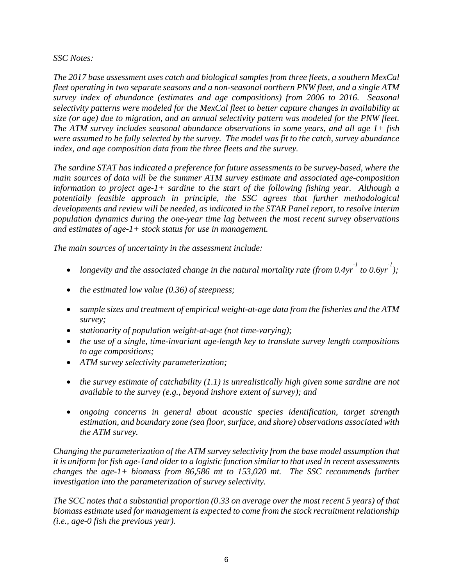#### *SSC Notes:*

*The 2017 base assessment uses catch and biological samples from three fleets, a southern MexCal fleet operating in two separate seasons and a non-seasonal northern PNW fleet, and a single ATM survey index of abundance (estimates and age compositions) from 2006 to 2016. Seasonal selectivity patterns were modeled for the MexCal fleet to better capture changes in availability at size (or age) due to migration, and an annual selectivity pattern was modeled for the PNW fleet. The ATM survey includes seasonal abundance observations in some years, and all age 1+ fish were assumed to be fully selected by the survey. The model was fit to the catch, survey abundance index, and age composition data from the three fleets and the survey.* 

*The sardine STAT has indicated a preference for future assessments to be survey-based, where the main sources of data will be the summer ATM survey estimate and associated age-composition information to project age-1+ sardine to the start of the following fishing year. Although a potentially feasible approach in principle, the SSC agrees that further methodological developments and review will be needed, as indicated in the STAR Panel report, to resolve interim population dynamics during the one-year time lag between the most recent survey observations and estimates of age-1+ stock status for use in management.*

*The main sources of uncertainty in the assessment include:* 

- *longevity and the associated change in the natural mortality rate (from*  $0.4yr^1$  *to*  $0.6yr^1$ *);*
- *the estimated low value (0.36) of steepness;*
- *sample sizes and treatment of empirical weight-at-age data from the fisheries and the ATM survey;*
- *stationarity of population weight-at-age (not time-varying);*
- *the use of a single, time-invariant age-length key to translate survey length compositions to age compositions;*
- *ATM survey selectivity parameterization;*
- *the survey estimate of catchability (1.1) is unrealistically high given some sardine are not available to the survey (e.g., beyond inshore extent of survey); and*
- *ongoing concerns in general about acoustic species identification, target strength estimation, and boundary zone (sea floor, surface, and shore) observations associated with the ATM survey.*

*Changing the parameterization of the ATM survey selectivity from the base model assumption that it is uniform for fish age-1and older to a logistic function similar to that used in recent assessments changes the age-1+ biomass from 86,586 mt to 153,020 mt. The SSC recommends further investigation into the parameterization of survey selectivity.*

*The SCC notes that a substantial proportion (0.33 on average over the most recent 5 years) of that biomass estimate used for management is expected to come from the stock recruitment relationship (i.e., age-0 fish the previous year).*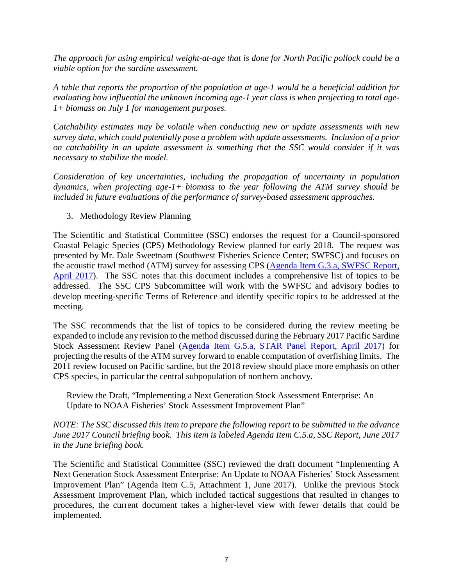*The approach for using empirical weight-at-age that is done for North Pacific pollock could be a viable option for the sardine assessment.* 

*A table that reports the proportion of the population at age-1 would be a beneficial addition for evaluating how influential the unknown incoming age-1 year class is when projecting to total age-1+ biomass on July 1 for management purposes.*

*Catchability estimates may be volatile when conducting new or update assessments with new survey data, which could potentially pose a problem with update assessments. Inclusion of a prior on catchability in an update assessment is something that the SSC would consider if it was necessary to stabilize the model.*

*Consideration of key uncertainties, including the propagation of uncertainty in population dynamics, when projecting age-1+ biomass to the year following the ATM survey should be included in future evaluations of the performance of survey-based assessment approaches.* 

3. Methodology Review Planning

The Scientific and Statistical Committee (SSC) endorses the request for a Council-sponsored Coastal Pelagic Species (CPS) Methodology Review planned for early 2018. The request was presented by Mr. Dale Sweetnam (Southwest Fisheries Science Center; SWFSC) and focuses on the acoustic trawl method (ATM) survey for assessing CPS [\(Agenda Item G.3.a, SWFSC Report,](http://www.pcouncil.org/wp-content/uploads/2017/03/G3a_SWFSC_Rpt_Apr2017BB.pdf)  [April 2017\)](http://www.pcouncil.org/wp-content/uploads/2017/03/G3a_SWFSC_Rpt_Apr2017BB.pdf). The SSC notes that this document includes a comprehensive list of topics to be addressed. The SSC CPS Subcommittee will work with the SWFSC and advisory bodies to develop meeting-specific Terms of Reference and identify specific topics to be addressed at the meeting.

The SSC recommends that the list of topics to be considered during the review meeting be expanded to include any revision to the method discussed during the February 2017 Pacific Sardine Stock Assessment Review Panel [\(Agenda Item G.5.a, STAR Panel Report, April 2017\)](http://www.pcouncil.org/wp-content/uploads/2017/03/G5a_STAR_Panel_Rpt_Apr2017BB.pdf) for projecting the results of the ATM survey forward to enable computation of overfishing limits. The 2011 review focused on Pacific sardine, but the 2018 review should place more emphasis on other CPS species, in particular the central subpopulation of northern anchovy.

Review the Draft, "Implementing a Next Generation Stock Assessment Enterprise: An Update to NOAA Fisheries' Stock Assessment Improvement Plan"

*NOTE: The SSC discussed this item to prepare the following report to be submitted in the advance June 2017 Council briefing book. This item is labeled Agenda Item C.5.a, SSC Report, June 2017 in the June briefing book.*

The Scientific and Statistical Committee (SSC) reviewed the draft document "Implementing A Next Generation Stock Assessment Enterprise: An Update to NOAA Fisheries' Stock Assessment Improvement Plan" (Agenda Item C.5, Attachment 1, June 2017). Unlike the previous Stock Assessment Improvement Plan, which included tactical suggestions that resulted in changes to procedures, the current document takes a higher-level view with fewer details that could be implemented.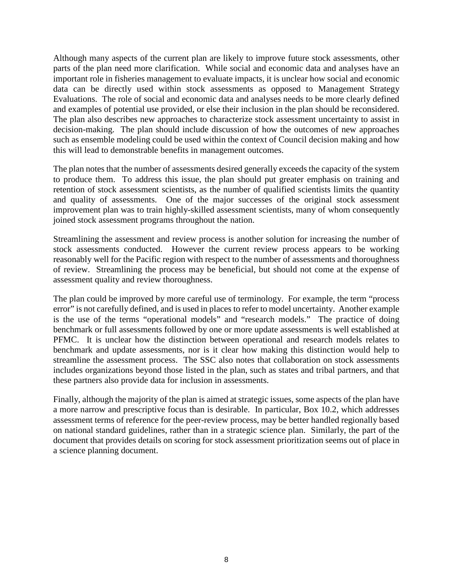Although many aspects of the current plan are likely to improve future stock assessments, other parts of the plan need more clarification. While social and economic data and analyses have an important role in fisheries management to evaluate impacts, it is unclear how social and economic data can be directly used within stock assessments as opposed to Management Strategy Evaluations. The role of social and economic data and analyses needs to be more clearly defined and examples of potential use provided, or else their inclusion in the plan should be reconsidered. The plan also describes new approaches to characterize stock assessment uncertainty to assist in decision-making. The plan should include discussion of how the outcomes of new approaches such as ensemble modeling could be used within the context of Council decision making and how this will lead to demonstrable benefits in management outcomes.

The plan notes that the number of assessments desired generally exceeds the capacity of the system to produce them. To address this issue, the plan should put greater emphasis on training and retention of stock assessment scientists, as the number of qualified scientists limits the quantity and quality of assessments. One of the major successes of the original stock assessment improvement plan was to train highly-skilled assessment scientists, many of whom consequently joined stock assessment programs throughout the nation.

Streamlining the assessment and review process is another solution for increasing the number of stock assessments conducted. However the current review process appears to be working reasonably well for the Pacific region with respect to the number of assessments and thoroughness of review. Streamlining the process may be beneficial, but should not come at the expense of assessment quality and review thoroughness.

The plan could be improved by more careful use of terminology. For example, the term "process error" is not carefully defined, and is used in places to refer to model uncertainty. Another example is the use of the terms "operational models" and "research models." The practice of doing benchmark or full assessments followed by one or more update assessments is well established at PFMC. It is unclear how the distinction between operational and research models relates to benchmark and update assessments, nor is it clear how making this distinction would help to streamline the assessment process. The SSC also notes that collaboration on stock assessments includes organizations beyond those listed in the plan, such as states and tribal partners, and that these partners also provide data for inclusion in assessments.

Finally, although the majority of the plan is aimed at strategic issues, some aspects of the plan have a more narrow and prescriptive focus than is desirable. In particular, Box 10.2, which addresses assessment terms of reference for the peer-review process, may be better handled regionally based on national standard guidelines, rather than in a strategic science plan. Similarly, the part of the document that provides details on scoring for stock assessment prioritization seems out of place in a science planning document.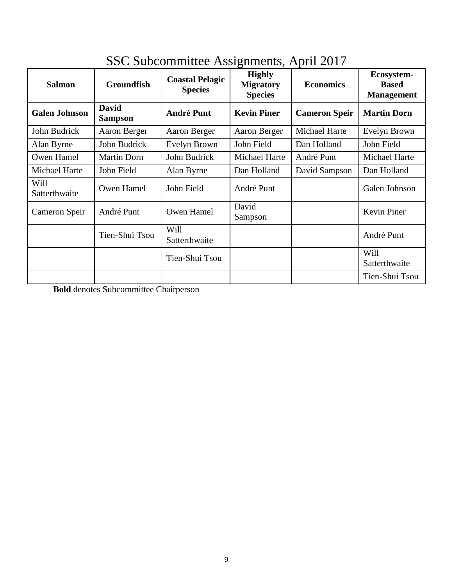| <b>Salmon</b>         | <b>Groundfish</b>              | <b>Coastal Pelagic</b><br><b>Species</b> | O<br><b>Highly</b><br><b>Migratory</b><br><b>Species</b> | <b>Economics</b>     | Ecosystem-<br><b>Based</b><br><b>Management</b> |
|-----------------------|--------------------------------|------------------------------------------|----------------------------------------------------------|----------------------|-------------------------------------------------|
| <b>Galen Johnson</b>  | <b>David</b><br><b>Sampson</b> | <b>André Punt</b>                        | <b>Kevin Piner</b>                                       | <b>Cameron Speir</b> | <b>Martin Dorn</b>                              |
| John Budrick          | Aaron Berger                   | Aaron Berger                             | Aaron Berger                                             | Michael Harte        | Evelyn Brown                                    |
| Alan Byrne            | John Budrick                   | Evelyn Brown                             | John Field                                               | Dan Holland          | John Field                                      |
| Owen Hamel            | <b>Martin Dorn</b>             | John Budrick                             | Michael Harte                                            | André Punt           | Michael Harte                                   |
| <b>Michael Harte</b>  | John Field                     | Alan Byrne                               | Dan Holland                                              | David Sampson        | Dan Holland                                     |
| Will<br>Satterthwaite | Owen Hamel                     | John Field                               | André Punt                                               |                      | Galen Johnson                                   |
| Cameron Speir         | André Punt                     | Owen Hamel                               | David<br>Sampson                                         |                      | Kevin Piner                                     |
|                       | Tien-Shui Tsou                 | Will<br>Satterthwaite                    |                                                          |                      | André Punt                                      |
|                       |                                | Tien-Shui Tsou                           |                                                          |                      | Will<br>Satterthwaite                           |
|                       |                                |                                          |                                                          |                      | Tien-Shui Tsou                                  |

# SSC Subcommittee Assignments, April 2017

**Bold** denotes Subcommittee Chairperson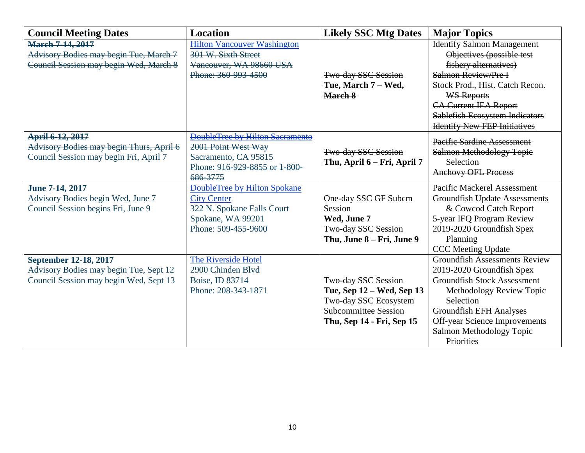| <b>Council Meeting Dates</b>             | <b>Location</b>                    | <b>Likely SSC Mtg Dates</b> | <b>Major Topics</b>                   |
|------------------------------------------|------------------------------------|-----------------------------|---------------------------------------|
| <b>March 7-14, 2017</b>                  | <b>Hilton Vancouver Washington</b> |                             | <b>Identify Salmon Management</b>     |
| Advisory Bodies may begin Tue, March 7   | 301 W. Sixth Street                |                             | Objectives (possible test             |
| Council Session may begin Wed, March 8   | Vancouver, WA 98660 USA            |                             | fishery alternatives)                 |
|                                          | Phone: 360-993-4500                | <b>Two-day SSC Session</b>  | Salmon Review/Pre I                   |
|                                          |                                    | Tue, March 7 Wed,           | Stock Prod., Hist. Catch Recon.       |
|                                          |                                    | March 8                     | <b>WS Reports</b>                     |
|                                          |                                    |                             | <b>CA Current IEA Report</b>          |
|                                          |                                    |                             | <b>Sablefish Ecosystem Indicators</b> |
|                                          |                                    |                             | <b>Identify New FEP Initiatives</b>   |
| April 6-12, 2017                         | DoubleTree by Hilton Sacramento    |                             | <b>Pacific Sardine Assessment</b>     |
| Advisory Bodies may begin Thurs, April 6 | 2001 Point West Way                | Two-day SSC Session         | <b>Salmon Methodology Topic</b>       |
| Council Session may begin Fri, April 7   | Sacramento, CA 95815               | Thu, April 6 - Fri, April 7 | Selection                             |
|                                          | Phone: 916-929-8855 or 1-800-      |                             | <b>Anchovy OFL Process</b>            |
|                                          | 686-3775                           |                             |                                       |
| June 7-14, 2017                          | DoubleTree by Hilton Spokane       |                             | <b>Pacific Mackerel Assessment</b>    |
| Advisory Bodies begin Wed, June 7        | <b>City Center</b>                 | One-day SSC GF Subcm        | <b>Groundfish Update Assessments</b>  |
| Council Session begins Fri, June 9       | 322 N. Spokane Falls Court         | Session                     | & Cowcod Catch Report                 |
|                                          | Spokane, WA 99201                  | Wed, June 7                 | 5-year IFQ Program Review             |
|                                          | Phone: 509-455-9600                | Two-day SSC Session         | 2019-2020 Groundfish Spex             |
|                                          |                                    | Thu, June 8 – Fri, June 9   | Planning                              |
|                                          |                                    |                             | <b>CCC</b> Meeting Update             |
| September 12-18, 2017                    | The Riverside Hotel                |                             | <b>Groundfish Assessments Review</b>  |
| Advisory Bodies may begin Tue, Sept 12   | 2900 Chinden Blvd                  |                             | 2019-2020 Groundfish Spex             |
| Council Session may begin Wed, Sept 13   | Boise, ID 83714                    | Two-day SSC Session         | <b>Groundfish Stock Assessment</b>    |
|                                          | Phone: 208-343-1871                | Tue, Sep 12 – Wed, Sep 13   | Methodology Review Topic              |
|                                          |                                    | Two-day SSC Ecosystem       | Selection                             |
|                                          |                                    | <b>Subcommittee Session</b> | <b>Groundfish EFH Analyses</b>        |
|                                          |                                    | Thu, Sep 14 - Fri, Sep 15   | Off-year Science Improvements         |
|                                          |                                    |                             | Salmon Methodology Topic              |
|                                          |                                    |                             | Priorities                            |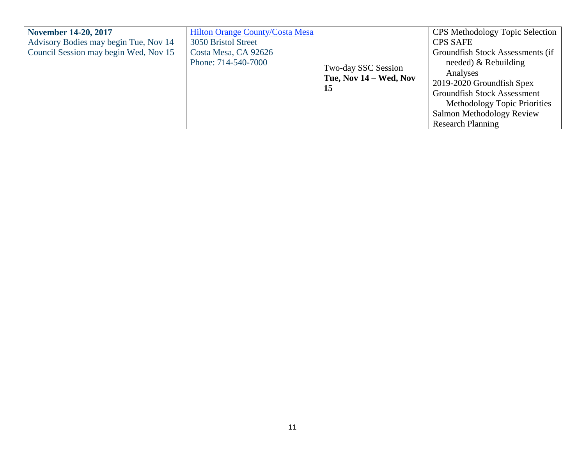| <b>November 14-20, 2017</b>           | <b>Hilton Orange County/Costa Mesa</b> |                        | <b>CPS</b> Methodology Topic Selection |  |
|---------------------------------------|----------------------------------------|------------------------|----------------------------------------|--|
| Advisory Bodies may begin Tue, Nov 14 | 3050 Bristol Street                    |                        | <b>CPS SAFE</b>                        |  |
| Council Session may begin Wed, Nov 15 | Costa Mesa, CA 92626                   |                        | Groundfish Stock Assessments (if       |  |
|                                       | Phone: 714-540-7000                    | Two-day SSC Session    | needed) $&$ Rebuilding                 |  |
|                                       |                                        | Tue, Nov 14 – Wed, Nov | Analyses                               |  |
|                                       |                                        | 15                     | 2019-2020 Groundfish Spex              |  |
|                                       |                                        |                        | <b>Groundfish Stock Assessment</b>     |  |
|                                       |                                        |                        | Methodology Topic Priorities           |  |
|                                       |                                        |                        | Salmon Methodology Review              |  |
|                                       |                                        |                        | <b>Research Planning</b>               |  |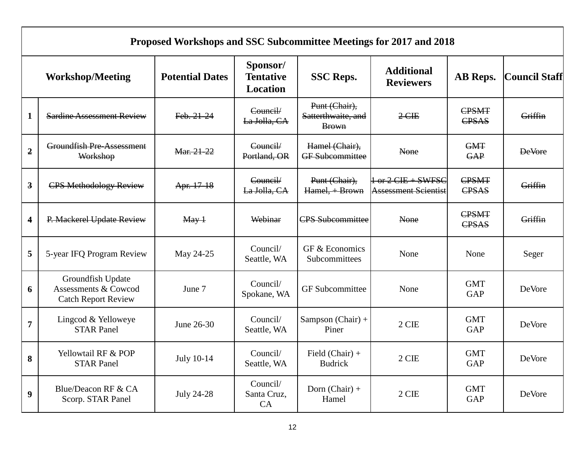|                         | Proposed Workshops and SSC Subcommittee Meetings for 2017 and 2018      |                        |                                          |                                                     |                                                       |                          |                      |  |
|-------------------------|-------------------------------------------------------------------------|------------------------|------------------------------------------|-----------------------------------------------------|-------------------------------------------------------|--------------------------|----------------------|--|
|                         | <b>Workshop/Meeting</b>                                                 | <b>Potential Dates</b> | Sponsor/<br><b>Tentative</b><br>Location | <b>SSC Reps.</b>                                    | <b>Additional</b><br><b>Reviewers</b>                 | AB Reps.                 | <b>Council Staff</b> |  |
| $\mathbf{1}$            | <b>Sardine Assessment Review</b>                                        | Feb. 21-24             | Council/<br>La Jolla, CA                 | Punt (Chair),<br>Satterthwaite, and<br><b>Brown</b> | $2$ CIE                                               | CPSMT<br>CPSAS           | Griffin              |  |
| $\overline{2}$          | <b>Groundfish Pre-Assessment</b><br>Workshop                            | Mar. 21-22             | Council/<br>Portland, OR                 | Hamel (Chair),<br><b>GF</b> Subcommittee            | None                                                  | <b>GMT</b><br><b>GAP</b> | <b>DeVore</b>        |  |
| $\overline{\mathbf{3}}$ | <b>CPS Methodology Review</b>                                           | Apr. 17-18             | Council/<br>La Jolla, CA                 | Punt (Chair),<br>Hamel, + Brown                     | $1 - or 2$ CIE + SWFSC<br><b>Assessment Scientist</b> | <b>CPSMT</b><br>CPSAS    | Griffin              |  |
| $\overline{\mathbf{4}}$ | P. Mackerel Update Review                                               | $\text{May-1}$         | Webinar                                  | <b>CPS Subcommittee</b>                             | <b>None</b>                                           | CPSMT<br>CPSAS           | Griffin              |  |
| 5                       | 5-year IFQ Program Review                                               | May 24-25              | Council/<br>Seattle, WA                  | GF & Economics<br>Subcommittees                     | None                                                  | None                     | Seger                |  |
| 6                       | Groundfish Update<br>Assessments & Cowcod<br><b>Catch Report Review</b> | June 7                 | Council/<br>Spokane, WA                  | <b>GF</b> Subcommittee                              | None                                                  | <b>GMT</b><br>GAP        | DeVore               |  |
| $\overline{7}$          | Lingcod & Yelloweye<br><b>STAR Panel</b>                                | June 26-30             | Council/<br>Seattle, WA                  | Sampson (Chair) +<br>Piner                          | 2 CIE                                                 | <b>GMT</b><br><b>GAP</b> | <b>DeVore</b>        |  |
| 8                       | Yellowtail RF & POP<br><b>STAR Panel</b>                                | July 10-14             | Council/<br>Seattle, WA                  | Field $(Chair) +$<br><b>Budrick</b>                 | 2 CIE                                                 | <b>GMT</b><br><b>GAP</b> | DeVore               |  |
| $\boldsymbol{9}$        | Blue/Deacon RF & CA<br>Scorp. STAR Panel                                | <b>July 24-28</b>      | Council/<br>Santa Cruz,<br>CA            | Dorn $(Chair) +$<br>Hamel                           | 2 CIE                                                 | <b>GMT</b><br><b>GAP</b> | <b>DeVore</b>        |  |